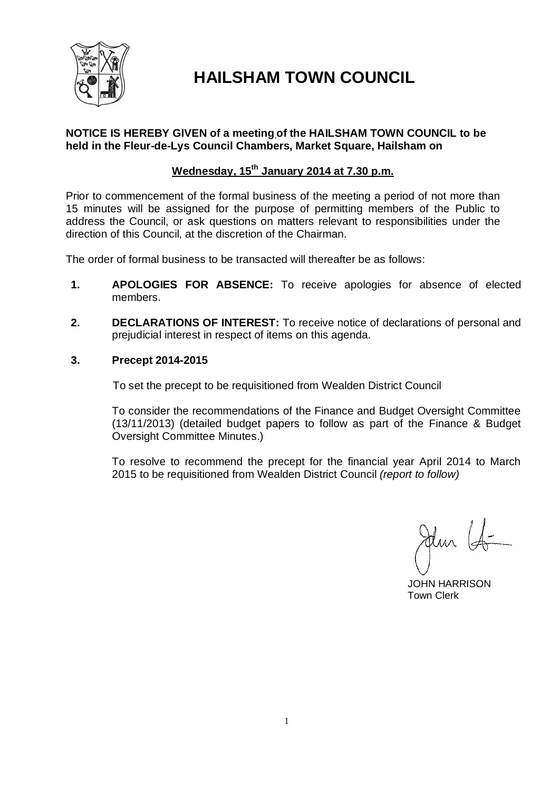

# **HAILSHAM TOWN COUNCIL**

### **NOTICE IS HEREBY GIVEN of a meeting of the HAILSHAM TOWN COUNCIL to be held in the Fleur-de-Lys Council Chambers, Market Square, Hailsham on**

## **Wednesday, 15th January 2014 at 7.30 p.m.**

Prior to commencement of the formal business of the meeting a period of not more than 15 minutes will be assigned for the purpose of permitting members of the Public to address the Council, or ask questions on matters relevant to responsibilities under the direction of this Council, at the discretion of the Chairman.

The order of formal business to be transacted will thereafter be as follows:

- **1. APOLOGIES FOR ABSENCE:** To receive apologies for absence of elected members.
- **2. DECLARATIONS OF INTEREST:** To receive notice of declarations of personal and prejudicial interest in respect of items on this agenda.
- **3. Precept 2014-2015**

To set the precept to be requisitioned from Wealden District Council

To consider the recommendations of the Finance and Budget Oversight Committee (13/11/2013) (detailed budget papers to follow as part of the Finance & Budget Oversight Committee Minutes.)

To resolve to recommend the precept for the financial year April 2014 to March 2015 to be requisitioned from Wealden District Council *(report to follow)*

Jelm (S-

 JOHN HARRISON Town Clerk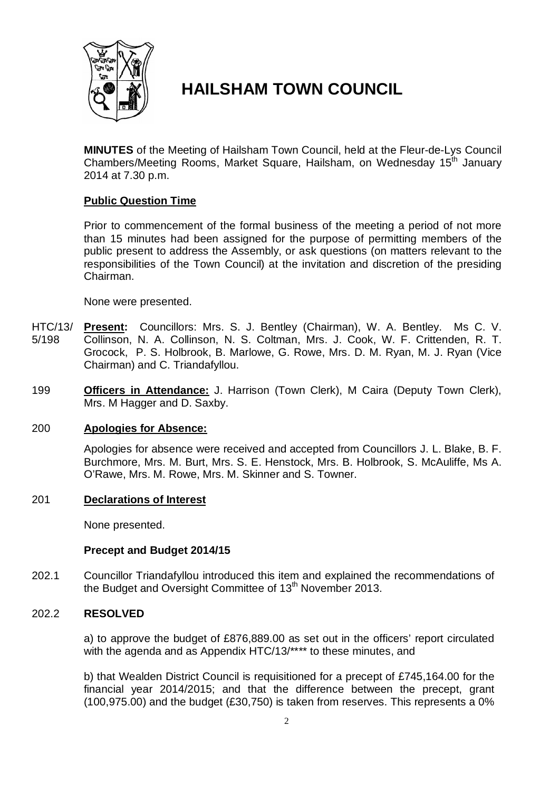

# **HAILSHAM TOWN COUNCIL**

**MINUTES** of the Meeting of Hailsham Town Council, held at the Fleur-de-Lys Council Chambers/Meeting Rooms, Market Square, Hailsham, on Wednesday 15<sup>th</sup> January 2014 at 7.30 p.m.

### **Public Question Time**

Prior to commencement of the formal business of the meeting a period of not more than 15 minutes had been assigned for the purpose of permitting members of the public present to address the Assembly, or ask questions (on matters relevant to the responsibilities of the Town Council) at the invitation and discretion of the presiding Chairman.

None were presented.

- HTC/13/ 5/198 **Present:** Councillors: Mrs. S. J. Bentley (Chairman), W. A. Bentley. Ms C. V. Collinson, N. A. Collinson, N. S. Coltman, Mrs. J. Cook, W. F. Crittenden, R. T. Grocock, P. S. Holbrook, B. Marlowe, G. Rowe, Mrs. D. M. Ryan, M. J. Ryan (Vice Chairman) and C. Triandafyllou.
- 199 **Officers in Attendance:** J. Harrison (Town Clerk), M Caira (Deputy Town Clerk), Mrs. M Hagger and D. Saxby.

#### 200 **Apologies for Absence:**

Apologies for absence were received and accepted from Councillors J. L. Blake, B. F. Burchmore, Mrs. M. Burt, Mrs. S. E. Henstock, Mrs. B. Holbrook, S. McAuliffe, Ms A. O'Rawe, Mrs. M. Rowe, Mrs. M. Skinner and S. Towner.

#### 201 **Declarations of Interest**

None presented.

### **Precept and Budget 2014/15**

202.1 Councillor Triandafyllou introduced this item and explained the recommendations of the Budget and Oversight Committee of 13<sup>th</sup> November 2013.

#### 202.2 **RESOLVED**

a) to approve the budget of £876,889.00 as set out in the officers' report circulated with the agenda and as Appendix HTC/13/\*\*\*\* to these minutes, and

b) that Wealden District Council is requisitioned for a precept of £745,164.00 for the financial year 2014/2015; and that the difference between the precept, grant (100,975.00) and the budget (£30,750) is taken from reserves. This represents a 0%